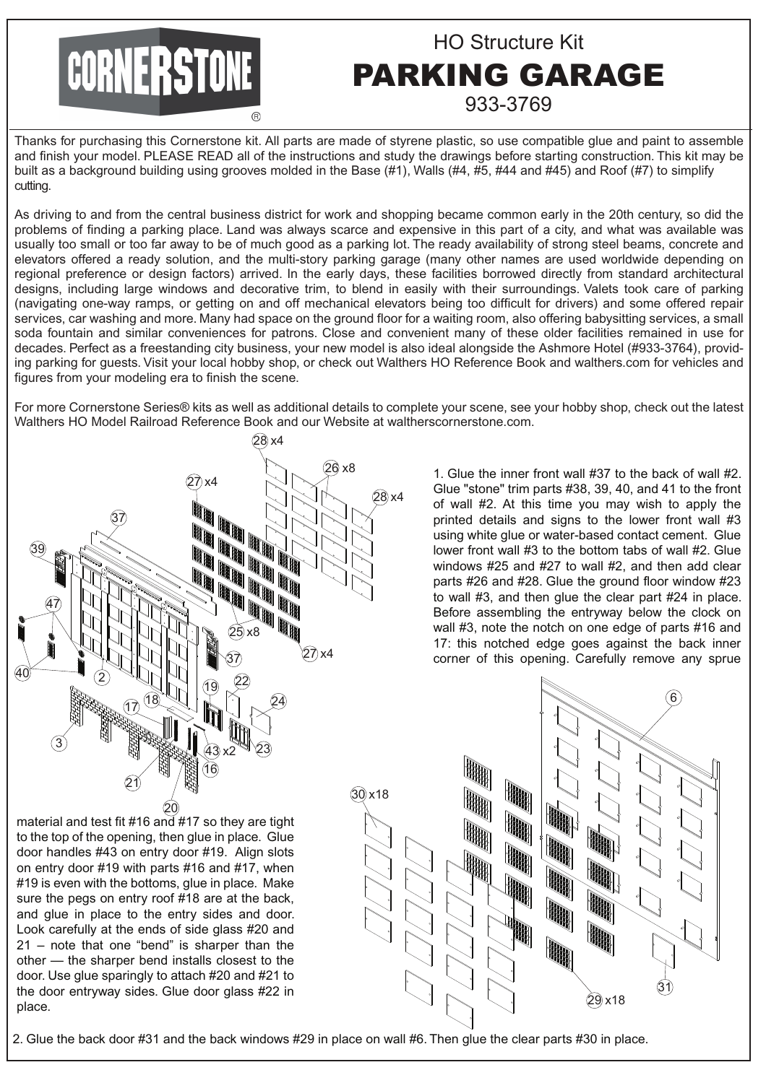## CORNERSTONE

## HO Structure Kit PARKING GARAGE 933-3769

Thanks for purchasing this Cornerstone kit. All parts are made of styrene plastic, so use compatible glue and paint to assemble and finish your model. PLEASE READ all of the instructions and study the drawings before starting construction. This kit may be built as a background building using grooves molded in the Base (#1), Walls (#4, #5, #44 and #45) and Roof (#7) to simplify cutting.

As driving to and from the central business district for work and shopping became common early in the 20th century, so did the problems of finding a parking place. Land was always scarce and expensive in this part of a city, and what was available was usually too small or too far away to be of much good as a parking lot. The ready availability of strong steel beams, concrete and elevators offered a ready solution, and the multi-story parking garage (many other names are used worldwide depending on regional preference or design factors) arrived. In the early days, these facilities borrowed directly from standard architectural designs, including large windows and decorative trim, to blend in easily with their surroundings. Valets took care of parking (navigating one-way ramps, or getting on and off mechanical elevators being too difficult for drivers) and some offered repair services, car washing and more. Many had space on the ground floor for a waiting room, also offering babysitting services, a small soda fountain and similar conveniences for patrons. Close and convenient many of these older facilities remained in use for decades. Perfect as a freestanding city business, your new model is also ideal alongside the Ashmore Hotel (#933-3764), providing parking for guests. Visit your local hobby shop, or check out Walthers HO Reference Book and walthers.com for vehicles and figures from your modeling era to finish the scene.

For more Cornerstone Series® kits as well as additional details to complete your scene, see your hobby shop, check out the latest Walthers HO Model Railroad Reference Book and our Website at waltherscornerstone.com.



1. Glue the inner front wall #37 to the back of wall #2. Glue "stone" trim parts #38, 39, 40, and 41 to the front of wall #2. At this time you may wish to apply the printed details and signs to the lower front wall #3 using white glue or water-based contact cement. Glue lower front wall #3 to the bottom tabs of wall #2. Glue windows #25 and #27 to wall #2, and then add clear parts #26 and #28. Glue the ground floor window #23 to wall #3, and then glue the clear part #24 in place. Before assembling the entryway below the clock on wall #3, note the notch on one edge of parts #16 and 17: this notched edge goes against the back inner corner of this opening. Carefully remove any sprue

29 x18 31 6

material and test fit #16 and #17 so they are tight to the top of the opening, then glue in place. Glue door handles #43 on entry door #19. Align slots on entry door #19 with parts #16 and #17, when #19 is even with the bottoms, glue in place. Make sure the pegs on entry roof #18 are at the back, and glue in place to the entry sides and door. Look carefully at the ends of side glass #20 and 21 – note that one "bend" is sharper than the other — the sharper bend installs closest to the door. Use glue sparingly to attach #20 and #21 to the door entryway sides. Glue door glass #22 in place.

2. Glue the back door #31 and the back windows #29 in place on wall #6. Then glue the clear parts #30 in place.